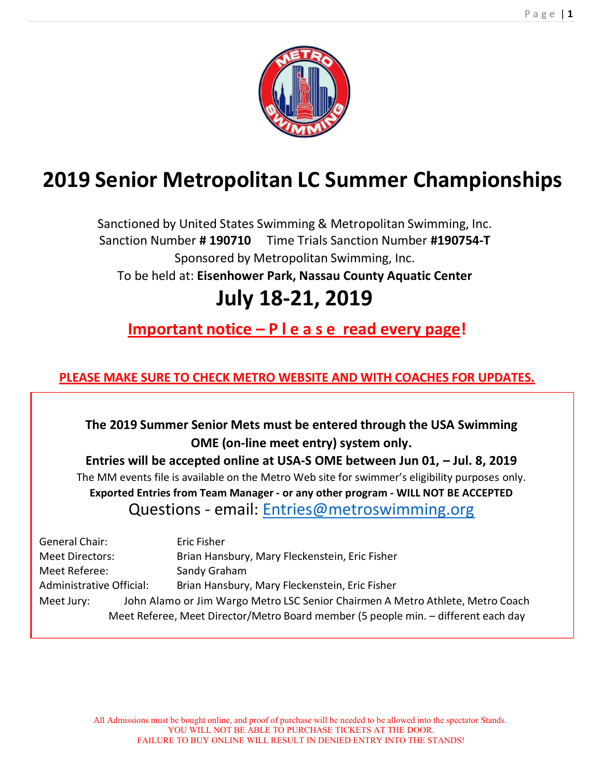

# 2019 Senior Metropolitan LC Summer Championships

Sanctioned by United States Swimming & Metropolitan Swimming, Inc. Sanction Number #190710 Time Trials Sanction Number #190754-T Sponsored by Metropolitan Swimming, Inc. To be held at: Eisenhower Park, Nassau County Aquatic Center

# July 18-21, 2019

Important notice – P l e a s e read every page!

# PLEASE MAKE SURE TO CHECK METRO WEBSITE AND WITH COACHES FOR UPDATES.

The 2019 Summer Senior Mets must be entered through the USA Swimming OME (on-line meet entry) system only.

Entries will be accepted online at USA-S OME between Jun 01, – Jul. 8, 2019 The MM events file is available on the Metro Web site for swimmer's eligibility purposes only. Exported Entries from Team Manager - or any other program - WILL NOT BE ACCEPTED Questions ‐ email: Entries@metroswimming.org

| General Chair:                                                                     | Eric Fisher                                                                    |  |  |  |
|------------------------------------------------------------------------------------|--------------------------------------------------------------------------------|--|--|--|
| <b>Meet Directors:</b>                                                             | Brian Hansbury, Mary Fleckenstein, Eric Fisher                                 |  |  |  |
| Meet Referee:                                                                      | Sandy Graham                                                                   |  |  |  |
| Administrative Official:                                                           | Brian Hansbury, Mary Fleckenstein, Eric Fisher                                 |  |  |  |
| Meet Jury:                                                                         | John Alamo or Jim Wargo Metro LSC Senior Chairmen A Metro Athlete, Metro Coach |  |  |  |
| Meet Referee, Meet Director/Metro Board member (5 people min. - different each day |                                                                                |  |  |  |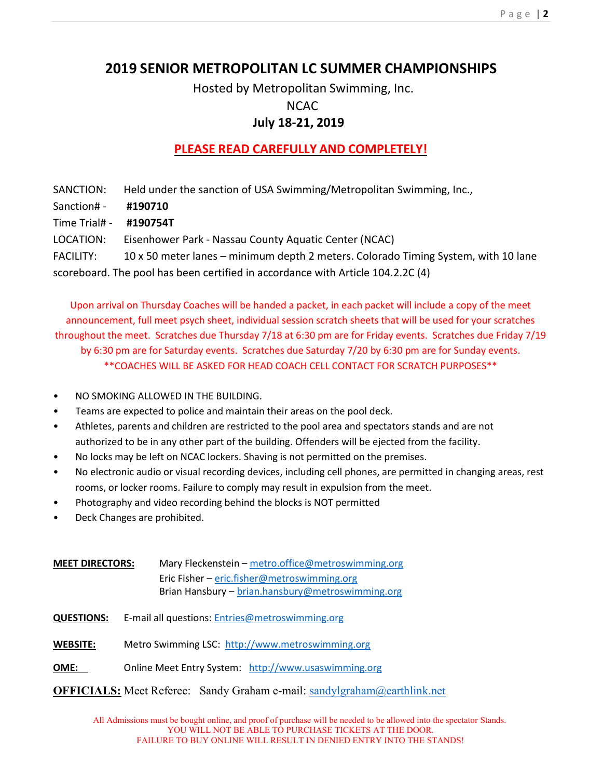# 2019 SENIOR METROPOLITAN LC SUMMER CHAMPIONSHIPS

Hosted by Metropolitan Swimming, Inc. NCAC

# July 18-21, 2019

# PLEASE READ CAREFULLY AND COMPLETELY!

SANCTION: Held under the sanction of USA Swimming/Metropolitan Swimming, Inc.,

- Sanction# #190710
- Time Trial# ‐ #190754T

LOCATION: Eisenhower Park ‐ Nassau County Aquatic Center (NCAC)

FACILITY: 10 x 50 meter lanes – minimum depth 2 meters. Colorado Timing System, with 10 lane scoreboard. The pool has been certified in accordance with Article 104.2.2C (4)

Upon arrival on Thursday Coaches will be handed a packet, in each packet will include a copy of the meet announcement, full meet psych sheet, individual session scratch sheets that will be used for your scratches throughout the meet. Scratches due Thursday 7/18 at 6:30 pm are for Friday events. Scratches due Friday 7/19

by 6:30 pm are for Saturday events. Scratches due Saturday 7/20 by 6:30 pm are for Sunday events.

\*\*COACHES WILL BE ASKED FOR HEAD COACH CELL CONTACT FOR SCRATCH PURPOSES\*\*

- NO SMOKING ALLOWED IN THE BUILDING.
- Teams are expected to police and maintain their areas on the pool deck.
- Athletes, parents and children are restricted to the pool area and spectators stands and are not authorized to be in any other part of the building. Offenders will be ejected from the facility.
- No locks may be left on NCAC lockers. Shaving is not permitted on the premises.
- No electronic audio or visual recording devices, including cell phones, are permitted in changing areas, rest rooms, or locker rooms. Failure to comply may result in expulsion from the meet.
- Photography and video recording behind the blocks is NOT permitted
- Deck Changes are prohibited.
- MEET DIRECTORS: Mary Fleckenstein metro.office@metroswimming.org Eric Fisher – eric.fisher@metroswimming.org Brian Hansbury – brian.hansbury@metroswimming.org
- QUESTIONS: E-mail all questions: Entries@metroswimming.org
- WEBSITE: Metro Swimming LSC: http://www.metroswimming.org
- OME: Online Meet Entry System: http://www.usaswimming.org
- OFFICIALS: Meet Referee: Sandy Graham e-mail: sandylgraham@earthlink.net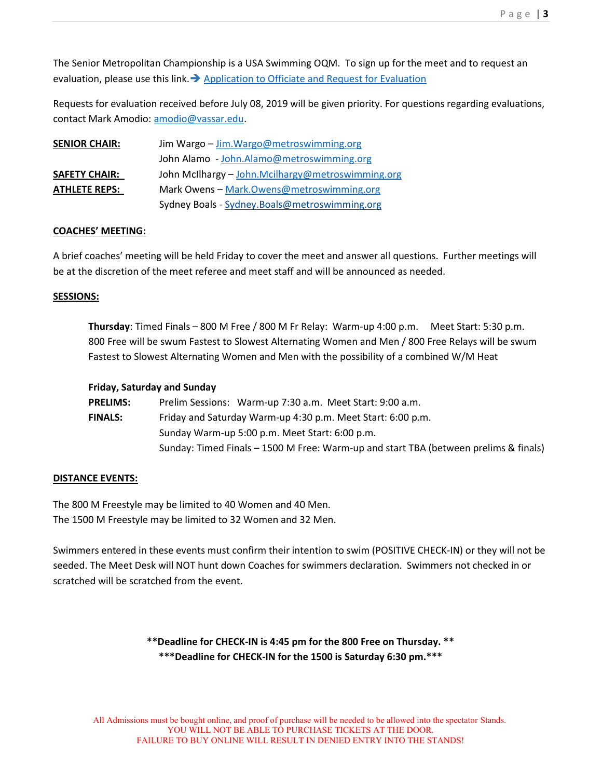The Senior Metropolitan Championship is a USA Swimming OQM. To sign up for the meet and to request an evaluation, please use this link.  $\rightarrow$  Application to Officiate and Request for Evaluation

Requests for evaluation received before July 08, 2019 will be given priority. For questions regarding evaluations, contact Mark Amodio: amodio@vassar.edu.

| <b>SENIOR CHAIR:</b> | Jim Wargo - Jim. Wargo@metroswimming.org          |  |  |  |  |
|----------------------|---------------------------------------------------|--|--|--|--|
|                      | John Alamo - John.Alamo@metroswimming.org         |  |  |  |  |
| <b>SAFETY CHAIR:</b> | John McIlhargy - John.Mcilhargy@metroswimming.org |  |  |  |  |
| <b>ATHLETE REPS:</b> | Mark Owens - Mark.Owens@metroswimming.org         |  |  |  |  |
|                      | Sydney Boals - Sydney.Boals@metroswimming.org     |  |  |  |  |

#### COACHES' MEETING:

A brief coaches' meeting will be held Friday to cover the meet and answer all questions. Further meetings will be at the discretion of the meet referee and meet staff and will be announced as needed.

#### SESSIONS:

Thursday: Timed Finals – 800 M Free / 800 M Fr Relay: Warm‐up 4:00 p.m. Meet Start: 5:30 p.m. 800 Free will be swum Fastest to Slowest Alternating Women and Men / 800 Free Relays will be swum Fastest to Slowest Alternating Women and Men with the possibility of a combined W/M Heat

#### Friday, Saturday and Sunday

| <b>PRELIMS:</b>                                | Prelim Sessions: Warm-up 7:30 a.m. Meet Start: 9:00 a.m.                             |  |  |  |  |  |
|------------------------------------------------|--------------------------------------------------------------------------------------|--|--|--|--|--|
| <b>FINALS:</b>                                 | Friday and Saturday Warm-up 4:30 p.m. Meet Start: 6:00 p.m.                          |  |  |  |  |  |
| Sunday Warm-up 5:00 p.m. Meet Start: 6:00 p.m. |                                                                                      |  |  |  |  |  |
|                                                | Sunday: Timed Finals - 1500 M Free: Warm-up and start TBA (between prelims & finals) |  |  |  |  |  |

#### DISTANCE EVENTS:

The 800 M Freestyle may be limited to 40 Women and 40 Men. The 1500 M Freestyle may be limited to 32 Women and 32 Men.

Swimmers entered in these events must confirm their intention to swim (POSITIVE CHECK‐IN) or they will not be seeded. The Meet Desk will NOT hunt down Coaches for swimmers declaration. Swimmers not checked in or scratched will be scratched from the event.

> \*\*Deadline for CHECK-IN is 4:45 pm for the 800 Free on Thursday. \*\* \*\*\*Deadline for CHECK-IN for the 1500 is Saturday 6:30 pm.\*\*\*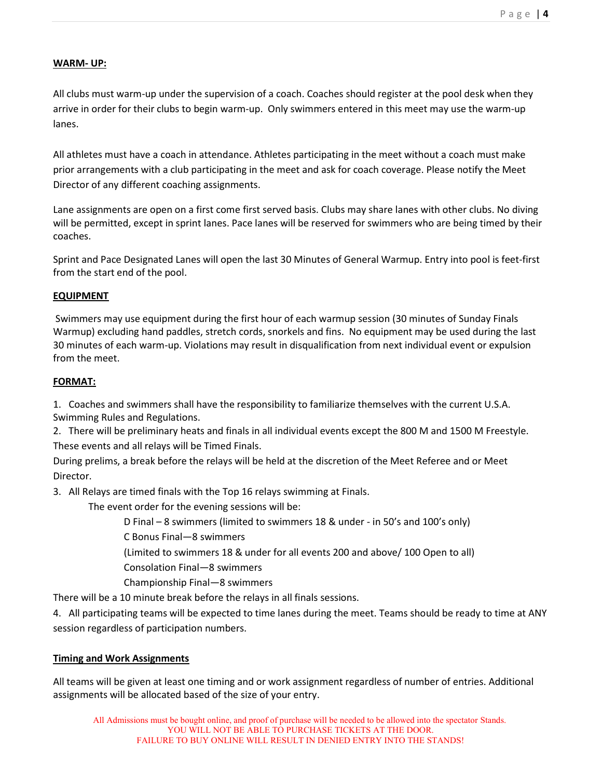#### WARM- UP:

All clubs must warm‐up under the supervision of a coach. Coaches should register at the pool desk when they arrive in order for their clubs to begin warm-up. Only swimmers entered in this meet may use the warm-up lanes.

All athletes must have a coach in attendance. Athletes participating in the meet without a coach must make prior arrangements with a club participating in the meet and ask for coach coverage. Please notify the Meet Director of any different coaching assignments.

Lane assignments are open on a first come first served basis. Clubs may share lanes with other clubs. No diving will be permitted, except in sprint lanes. Pace lanes will be reserved for swimmers who are being timed by their coaches.

Sprint and Pace Designated Lanes will open the last 30 Minutes of General Warmup. Entry into pool is feet‐first from the start end of the pool.

#### EQUIPMENT

 Swimmers may use equipment during the first hour of each warmup session (30 minutes of Sunday Finals Warmup) excluding hand paddles, stretch cords, snorkels and fins. No equipment may be used during the last 30 minutes of each warm‐up. Violations may result in disqualification from next individual event or expulsion from the meet.

#### FORMAT:

1. Coaches and swimmers shall have the responsibility to familiarize themselves with the current U.S.A. Swimming Rules and Regulations.

2. There will be preliminary heats and finals in all individual events except the 800 M and 1500 M Freestyle. These events and all relays will be Timed Finals.

During prelims, a break before the relays will be held at the discretion of the Meet Referee and or Meet Director.

3. All Relays are timed finals with the Top 16 relays swimming at Finals.

The event order for the evening sessions will be:

D Final – 8 swimmers (limited to swimmers 18 & under ‐ in 50's and 100's only)

C Bonus Final—8 swimmers

(Limited to swimmers 18 & under for all events 200 and above/ 100 Open to all)

Consolation Final—8 swimmers

Championship Final—8 swimmers

There will be a 10 minute break before the relays in all finals sessions.

4. All participating teams will be expected to time lanes during the meet. Teams should be ready to time at ANY session regardless of participation numbers.

## Timing and Work Assignments

All teams will be given at least one timing and or work assignment regardless of number of entries. Additional assignments will be allocated based of the size of your entry.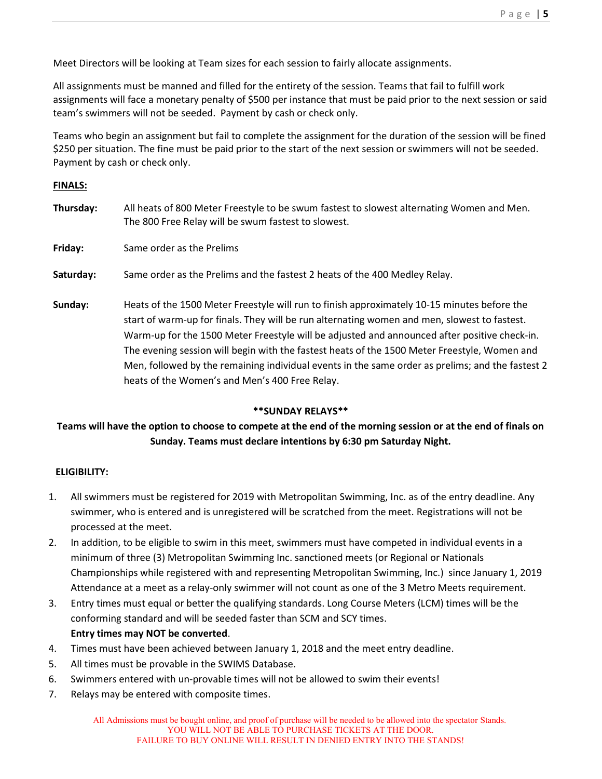Meet Directors will be looking at Team sizes for each session to fairly allocate assignments.

All assignments must be manned and filled for the entirety of the session. Teams that fail to fulfill work assignments will face a monetary penalty of \$500 per instance that must be paid prior to the next session or said team's swimmers will not be seeded. Payment by cash or check only.

Teams who begin an assignment but fail to complete the assignment for the duration of the session will be fined \$250 per situation. The fine must be paid prior to the start of the next session or swimmers will not be seeded. Payment by cash or check only.

#### FINALS:

| Thursday: | All heats of 800 Meter Freestyle to be swum fastest to slowest alternating Women and Men.<br>The 800 Free Relay will be swum fastest to slowest.                                                                                                                                                                                                                                                                                                                                                                                                  |
|-----------|---------------------------------------------------------------------------------------------------------------------------------------------------------------------------------------------------------------------------------------------------------------------------------------------------------------------------------------------------------------------------------------------------------------------------------------------------------------------------------------------------------------------------------------------------|
| Friday:   | Same order as the Prelims                                                                                                                                                                                                                                                                                                                                                                                                                                                                                                                         |
| Saturday: | Same order as the Prelims and the fastest 2 heats of the 400 Medley Relay.                                                                                                                                                                                                                                                                                                                                                                                                                                                                        |
| Sunday:   | Heats of the 1500 Meter Freestyle will run to finish approximately 10-15 minutes before the<br>start of warm-up for finals. They will be run alternating women and men, slowest to fastest.<br>Warm-up for the 1500 Meter Freestyle will be adjusted and announced after positive check-in.<br>The evening session will begin with the fastest heats of the 1500 Meter Freestyle, Women and<br>Men, followed by the remaining individual events in the same order as prelims; and the fastest 2<br>heats of the Women's and Men's 400 Free Relay. |

#### \*\*SUNDAY RELAYS\*\*

## Teams will have the option to choose to compete at the end of the morning session or at the end of finals on Sunday. Teams must declare intentions by 6:30 pm Saturday Night.

#### ELIGIBILITY:

- 1. All swimmers must be registered for 2019 with Metropolitan Swimming, Inc. as of the entry deadline. Any swimmer, who is entered and is unregistered will be scratched from the meet. Registrations will not be processed at the meet.
- 2. In addition, to be eligible to swim in this meet, swimmers must have competed in individual events in a minimum of three (3) Metropolitan Swimming Inc. sanctioned meets (or Regional or Nationals Championships while registered with and representing Metropolitan Swimming, Inc.) since January 1, 2019 Attendance at a meet as a relay‐only swimmer will not count as one of the 3 Metro Meets requirement.
- 3. Entry times must equal or better the qualifying standards. Long Course Meters (LCM) times will be the conforming standard and will be seeded faster than SCM and SCY times. Entry times may NOT be converted.
- 4. Times must have been achieved between January 1, 2018 and the meet entry deadline.
- 5. All times must be provable in the SWIMS Database.
- 6. Swimmers entered with un‐provable times will not be allowed to swim their events!
- 7. Relays may be entered with composite times.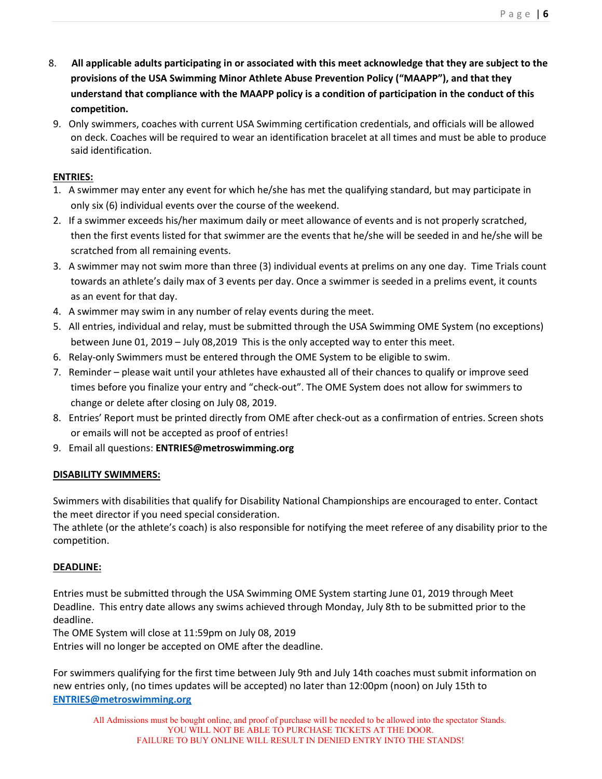- 8. All applicable adults participating in or associated with this meet acknowledge that they are subject to the provisions of the USA Swimming Minor Athlete Abuse Prevention Policy ("MAAPP"), and that they understand that compliance with the MAAPP policy is a condition of participation in the conduct of this competition.
- 9. Only swimmers, coaches with current USA Swimming certification credentials, and officials will be allowed on deck. Coaches will be required to wear an identification bracelet at all times and must be able to produce said identification.

## ENTRIES:

- 1. A swimmer may enter any event for which he/she has met the qualifying standard, but may participate in only six (6) individual events over the course of the weekend.
- 2. If a swimmer exceeds his/her maximum daily or meet allowance of events and is not properly scratched, then the first events listed for that swimmer are the events that he/she will be seeded in and he/she will be scratched from all remaining events.
- 3. A swimmer may not swim more than three (3) individual events at prelims on any one day. Time Trials count towards an athlete's daily max of 3 events per day. Once a swimmer is seeded in a prelims event, it counts as an event for that day.
- 4. A swimmer may swim in any number of relay events during the meet.
- 5. All entries, individual and relay, must be submitted through the USA Swimming OME System (no exceptions) between June 01, 2019 – July 08,2019 This is the only accepted way to enter this meet.
- 6. Relay-only Swimmers must be entered through the OME System to be eligible to swim.
- 7. Reminder please wait until your athletes have exhausted all of their chances to qualify or improve seed times before you finalize your entry and "check‐out". The OME System does not allow for swimmers to change or delete after closing on July 08, 2019.
- 8. Entries' Report must be printed directly from OME after check-out as a confirmation of entries. Screen shots or emails will not be accepted as proof of entries!
- 9. Email all questions: ENTRIES@metroswimming.org

# DISABILITY SWIMMERS:

Swimmers with disabilities that qualify for Disability National Championships are encouraged to enter. Contact the meet director if you need special consideration.

The athlete (or the athlete's coach) is also responsible for notifying the meet referee of any disability prior to the competition.

# DEADLINE:

Entries must be submitted through the USA Swimming OME System starting June 01, 2019 through Meet Deadline. This entry date allows any swims achieved through Monday, July 8th to be submitted prior to the deadline.

The OME System will close at 11:59pm on July 08, 2019

Entries will no longer be accepted on OME after the deadline.

For swimmers qualifying for the first time between July 9th and July 14th coaches must submit information on new entries only, (no times updates will be accepted) no later than 12:00pm (noon) on July 15th to ENTRIES@metroswimming.org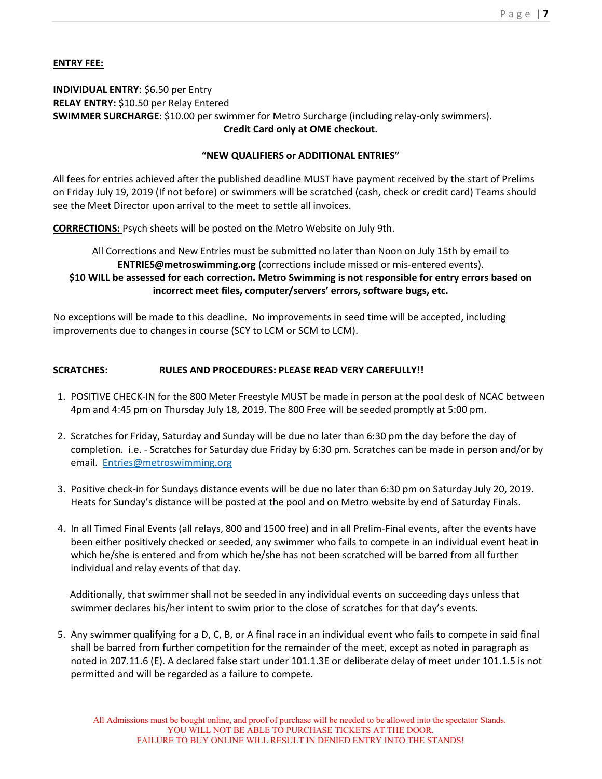### ENTRY FEE:

#### INDIVIDUAL ENTRY: \$6.50 per Entry RELAY ENTRY: \$10.50 per Relay Entered SWIMMER SURCHARGE: \$10.00 per swimmer for Metro Surcharge (including relay‐only swimmers). Credit Card only at OME checkout.

#### "NEW QUALIFIERS or ADDITIONAL ENTRIES"

All fees for entries achieved after the published deadline MUST have payment received by the start of Prelims on Friday July 19, 2019 (If not before) or swimmers will be scratched (cash, check or credit card) Teams should see the Meet Director upon arrival to the meet to settle all invoices.

CORRECTIONS: Psych sheets will be posted on the Metro Website on July 9th.

## All Corrections and New Entries must be submitted no later than Noon on July 15th by email to ENTRIES@metroswimming.org (corrections include missed or mis-entered events). \$10 WILL be assessed for each correction. Metro Swimming is not responsible for entry errors based on incorrect meet files, computer/servers' errors, software bugs, etc.

No exceptions will be made to this deadline. No improvements in seed time will be accepted, including improvements due to changes in course (SCY to LCM or SCM to LCM).

#### SCRATCHES: RULES AND PROCEDURES: PLEASE READ VERY CAREFULLY!!

- 1. POSITIVE CHECK‐IN for the 800 Meter Freestyle MUST be made in person at the pool desk of NCAC between 4pm and 4:45 pm on Thursday July 18, 2019. The 800 Free will be seeded promptly at 5:00 pm.
- 2. Scratches for Friday, Saturday and Sunday will be due no later than 6:30 pm the day before the day of completion. i.e. ‐ Scratches for Saturday due Friday by 6:30 pm. Scratches can be made in person and/or by email. Entries@metroswimming.org
- 3. Positive check‐in for Sundays distance events will be due no later than 6:30 pm on Saturday July 20, 2019. Heats for Sunday's distance will be posted at the pool and on Metro website by end of Saturday Finals.
- 4. In all Timed Final Events (all relays, 800 and 1500 free) and in all Prelim‐Final events, after the events have been either positively checked or seeded, any swimmer who fails to compete in an individual event heat in which he/she is entered and from which he/she has not been scratched will be barred from all further individual and relay events of that day.

 Additionally, that swimmer shall not be seeded in any individual events on succeeding days unless that swimmer declares his/her intent to swim prior to the close of scratches for that day's events.

5. Any swimmer qualifying for a D, C, B, or A final race in an individual event who fails to compete in said final shall be barred from further competition for the remainder of the meet, except as noted in paragraph as noted in 207.11.6 (E). A declared false start under 101.1.3E or deliberate delay of meet under 101.1.5 is not permitted and will be regarded as a failure to compete.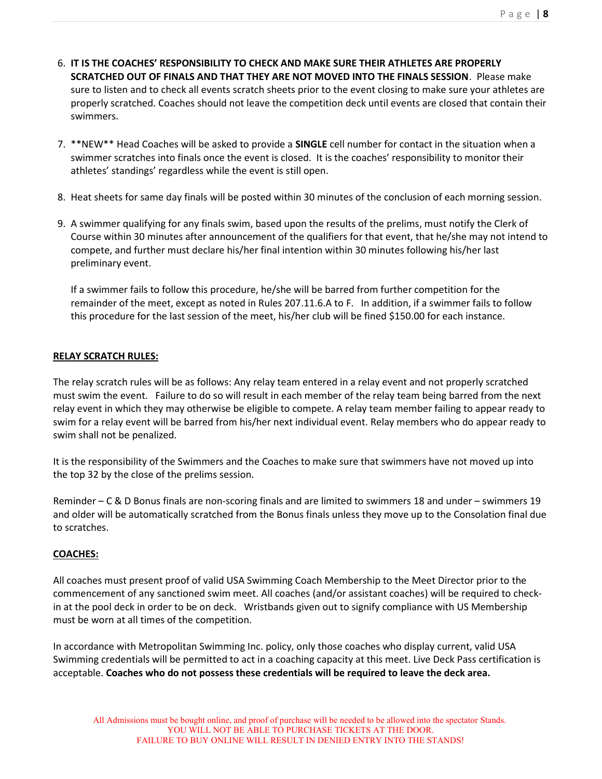- 6. IT IS THE COACHES' RESPONSIBILITY TO CHECK AND MAKE SURE THEIR ATHLETES ARE PROPERLY SCRATCHED OUT OF FINALS AND THAT THEY ARE NOT MOVED INTO THE FINALS SESSION. Please make sure to listen and to check all events scratch sheets prior to the event closing to make sure your athletes are properly scratched. Coaches should not leave the competition deck until events are closed that contain their swimmers.
- 7. \*\*NEW\*\* Head Coaches will be asked to provide a **SINGLE** cell number for contact in the situation when a swimmer scratches into finals once the event is closed. It is the coaches' responsibility to monitor their athletes' standings' regardless while the event is still open.
- 8. Heat sheets for same day finals will be posted within 30 minutes of the conclusion of each morning session.
- 9. A swimmer qualifying for any finals swim, based upon the results of the prelims, must notify the Clerk of Course within 30 minutes after announcement of the qualifiers for that event, that he/she may not intend to compete, and further must declare his/her final intention within 30 minutes following his/her last preliminary event.

If a swimmer fails to follow this procedure, he/she will be barred from further competition for the remainder of the meet, except as noted in Rules 207.11.6.A to F. In addition, if a swimmer fails to follow this procedure for the last session of the meet, his/her club will be fined \$150.00 for each instance.

## RELAY SCRATCH RULES:

The relay scratch rules will be as follows: Any relay team entered in a relay event and not properly scratched must swim the event. Failure to do so will result in each member of the relay team being barred from the next relay event in which they may otherwise be eligible to compete. A relay team member failing to appear ready to swim for a relay event will be barred from his/her next individual event. Relay members who do appear ready to swim shall not be penalized.

It is the responsibility of the Swimmers and the Coaches to make sure that swimmers have not moved up into the top 32 by the close of the prelims session.

Reminder – C & D Bonus finals are non‐scoring finals and are limited to swimmers 18 and under – swimmers 19 and older will be automatically scratched from the Bonus finals unless they move up to the Consolation final due to scratches.

# COACHES:

All coaches must present proof of valid USA Swimming Coach Membership to the Meet Director prior to the commencement of any sanctioned swim meet. All coaches (and/or assistant coaches) will be required to check‐ in at the pool deck in order to be on deck. Wristbands given out to signify compliance with US Membership must be worn at all times of the competition.

In accordance with Metropolitan Swimming Inc. policy, only those coaches who display current, valid USA Swimming credentials will be permitted to act in a coaching capacity at this meet. Live Deck Pass certification is acceptable. Coaches who do not possess these credentials will be required to leave the deck area.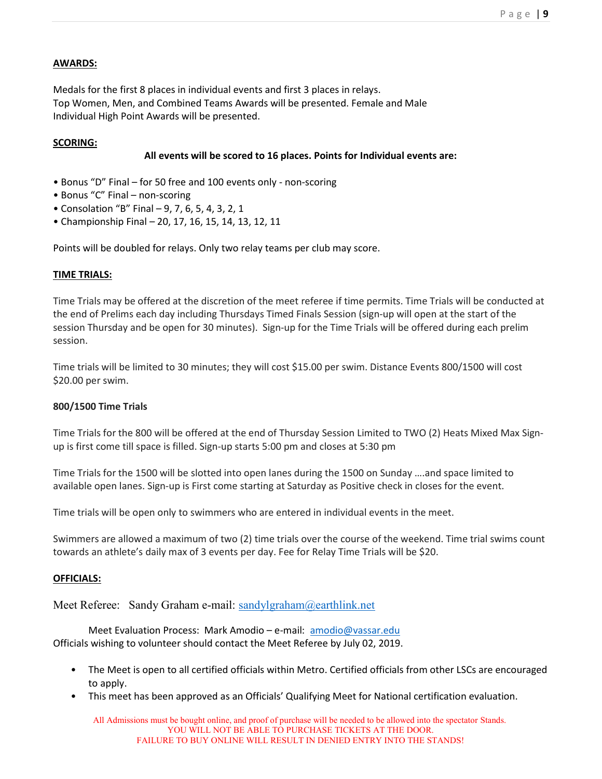#### AWARDS:

Medals for the first 8 places in individual events and first 3 places in relays. Top Women, Men, and Combined Teams Awards will be presented. Female and Male Individual High Point Awards will be presented.

#### SCORING:

#### All events will be scored to 16 places. Points for Individual events are:

- Bonus "D" Final for 50 free and 100 events only ‐ non‐scoring
- Bonus "C" Final non‐scoring
- Consolation "B" Final 9, 7, 6, 5, 4, 3, 2, 1
- Championship Final 20, 17, 16, 15, 14, 13, 12, 11

Points will be doubled for relays. Only two relay teams per club may score.

#### TIME TRIALS:

Time Trials may be offered at the discretion of the meet referee if time permits. Time Trials will be conducted at the end of Prelims each day including Thursdays Timed Finals Session (sign‐up will open at the start of the session Thursday and be open for 30 minutes). Sign‐up for the Time Trials will be offered during each prelim session.

Time trials will be limited to 30 minutes; they will cost \$15.00 per swim. Distance Events 800/1500 will cost \$20.00 per swim.

#### 800/1500 Time Trials

Time Trials for the 800 will be offered at the end of Thursday Session Limited to TWO (2) Heats Mixed Max Signup is first come till space is filled. Sign‐up starts 5:00 pm and closes at 5:30 pm

Time Trials for the 1500 will be slotted into open lanes during the 1500 on Sunday ….and space limited to available open lanes. Sign-up is First come starting at Saturday as Positive check in closes for the event.

Time trials will be open only to swimmers who are entered in individual events in the meet.

Swimmers are allowed a maximum of two (2) time trials over the course of the weekend. Time trial swims count towards an athlete's daily max of 3 events per day. Fee for Relay Time Trials will be \$20.

#### OFFICIALS:

Meet Referee: Sandy Graham e-mail: sandylgraham@earthlink.net

Meet Evaluation Process: Mark Amodio – e‐mail: amodio@vassar.edu Officials wishing to volunteer should contact the Meet Referee by July 02, 2019.

- The Meet is open to all certified officials within Metro. Certified officials from other LSCs are encouraged to apply.
- This meet has been approved as an Officials' Qualifying Meet for National certification evaluation.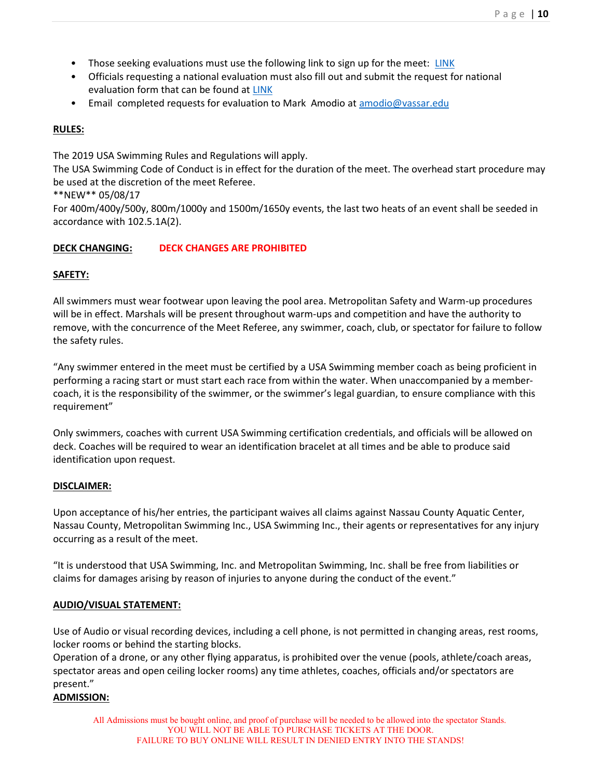- Those seeking evaluations must use the following link to sign up for the meet: LINK
- Officials requesting a national evaluation must also fill out and submit the request for national evaluation form that can be found at LINK
- Email completed requests for evaluation to Mark Amodio at amodio@vassar.edu

### RULES:

The 2019 USA Swimming Rules and Regulations will apply.

The USA Swimming Code of Conduct is in effect for the duration of the meet. The overhead start procedure may be used at the discretion of the meet Referee.

\*\*NEW\*\* 05/08/17

For 400m/400y/500y, 800m/1000y and 1500m/1650y events, the last two heats of an event shall be seeded in accordance with 102.5.1A(2).

## DECK CHANGING: DECK CHANGES ARE PROHIBITED

#### SAFETY:

All swimmers must wear footwear upon leaving the pool area. Metropolitan Safety and Warm‐up procedures will be in effect. Marshals will be present throughout warm-ups and competition and have the authority to remove, with the concurrence of the Meet Referee, any swimmer, coach, club, or spectator for failure to follow the safety rules.

"Any swimmer entered in the meet must be certified by a USA Swimming member coach as being proficient in performing a racing start or must start each race from within the water. When unaccompanied by a member‐ coach, it is the responsibility of the swimmer, or the swimmer's legal guardian, to ensure compliance with this requirement"

Only swimmers, coaches with current USA Swimming certification credentials, and officials will be allowed on deck. Coaches will be required to wear an identification bracelet at all times and be able to produce said identification upon request.

#### DISCLAIMER:

Upon acceptance of his/her entries, the participant waives all claims against Nassau County Aquatic Center, Nassau County, Metropolitan Swimming Inc., USA Swimming Inc., their agents or representatives for any injury occurring as a result of the meet.

"It is understood that USA Swimming, Inc. and Metropolitan Swimming, Inc. shall be free from liabilities or claims for damages arising by reason of injuries to anyone during the conduct of the event."

#### AUDIO/VISUAL STATEMENT:

Use of Audio or visual recording devices, including a cell phone, is not permitted in changing areas, rest rooms, locker rooms or behind the starting blocks.

Operation of a drone, or any other flying apparatus, is prohibited over the venue (pools, athlete/coach areas, spectator areas and open ceiling locker rooms) any time athletes, coaches, officials and/or spectators are present."

#### ADMISSION: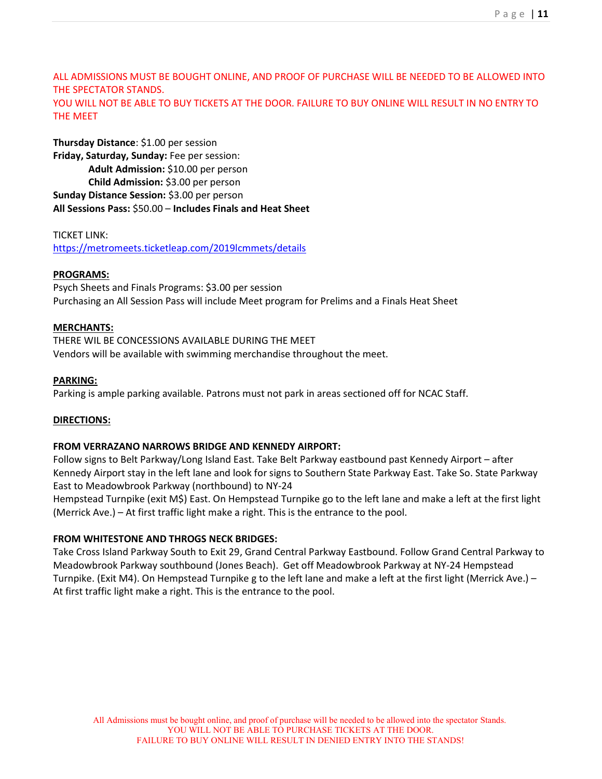ALL ADMISSIONS MUST BE BOUGHT ONLINE, AND PROOF OF PURCHASE WILL BE NEEDED TO BE ALLOWED INTO THE SPECTATOR STANDS. YOU WILL NOT BE ABLE TO BUY TICKETS AT THE DOOR. FAILURE TO BUY ONLINE WILL RESULT IN NO ENTRY TO THE MEET

Thursday Distance: \$1.00 per session Friday, Saturday, Sunday: Fee per session: Adult Admission: \$10.00 per person Child Admission: \$3.00 per person Sunday Distance Session: \$3.00 per person All Sessions Pass: \$50.00 – Includes Finals and Heat Sheet

TICKET LINK: https://metromeets.ticketleap.com/2019lcmmets/details

#### PROGRAMS:

Psych Sheets and Finals Programs: \$3.00 per session Purchasing an All Session Pass will include Meet program for Prelims and a Finals Heat Sheet

#### MERCHANTS:

THERE WIL BE CONCESSIONS AVAILABLE DURING THE MEET Vendors will be available with swimming merchandise throughout the meet.

#### PARKING:

Parking is ample parking available. Patrons must not park in areas sectioned off for NCAC Staff.

#### DIRECTIONS:

#### FROM VERRAZANO NARROWS BRIDGE AND KENNEDY AIRPORT:

Follow signs to Belt Parkway/Long Island East. Take Belt Parkway eastbound past Kennedy Airport – after Kennedy Airport stay in the left lane and look for signs to Southern State Parkway East. Take So. State Parkway East to Meadowbrook Parkway (northbound) to NY‐24

Hempstead Turnpike (exit M\$) East. On Hempstead Turnpike go to the left lane and make a left at the first light (Merrick Ave.) – At first traffic light make a right. This is the entrance to the pool.

#### FROM WHITESTONE AND THROGS NECK BRIDGES:

Take Cross Island Parkway South to Exit 29, Grand Central Parkway Eastbound. Follow Grand Central Parkway to Meadowbrook Parkway southbound (Jones Beach). Get off Meadowbrook Parkway at NY‐24 Hempstead Turnpike. (Exit M4). On Hempstead Turnpike g to the left lane and make a left at the first light (Merrick Ave.) – At first traffic light make a right. This is the entrance to the pool.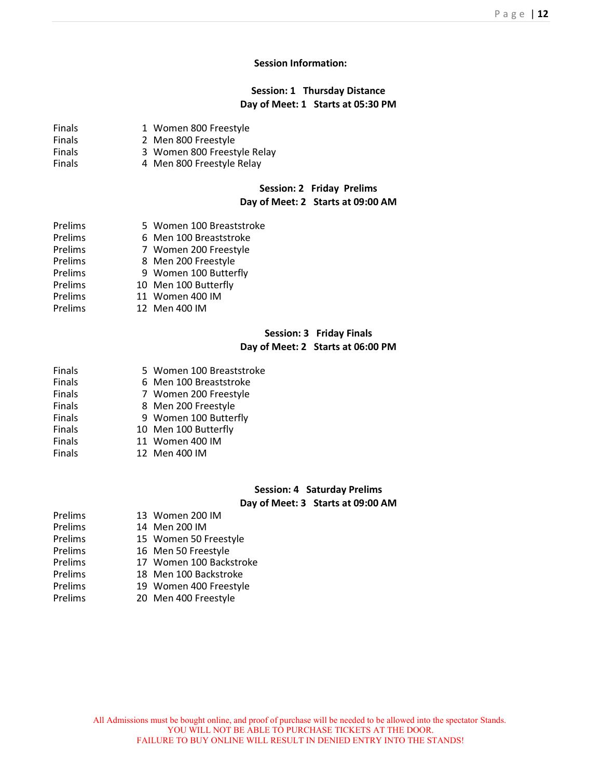#### Session Information:

#### Session: 1 Thursday Distance Day of Meet: 1 Starts at 05:30 PM

| <b>Finals</b>  | 1 Women 800 Freestyle             |
|----------------|-----------------------------------|
| <b>Finals</b>  | 2 Men 800 Freestyle               |
| <b>Finals</b>  | 3 Women 800 Freestyle Relay       |
| Finals         | 4 Men 800 Freestyle Relay         |
|                | Session: 2 Friday Prelims         |
|                | Day of Meet: 2 Starts at 09:00 AM |
| Prelims        | 5 Women 100 Breaststroke          |
| <b>Prelims</b> | 6 Men 100 Breaststroke            |
| <b>Prelims</b> | 7 Women 200 Freestyle             |
| <b>Prelims</b> | 8 Men 200 Freestyle               |
| <b>Prelims</b> | 9 Women 100 Butterfly             |
| <b>Prelims</b> | 10 Men 100 Butterfly              |
| <b>Prelims</b> | 11 Women 400 IM                   |
| <b>Prelims</b> | 12 Men 400 IM                     |

#### Session: 3 Friday Finals Day of Meet: 2 Starts at 06:00 PM

| <b>Finals</b> | 5 Women 100 Breaststroke |
|---------------|--------------------------|
| <b>Finals</b> | 6 Men 100 Breaststroke   |
| <b>Finals</b> | 7 Women 200 Freestyle    |
| <b>Finals</b> | 8 Men 200 Freestyle      |
| <b>Finals</b> | 9 Women 100 Butterfly    |
| <b>Finals</b> | 10 Men 100 Butterfly     |
| <b>Finals</b> | 11 Women 400 IM          |
| Einalc        | $12.3$ $Mon$ $100.18$    |

Finals 12 Men 400 IM

#### Session: 4 Saturday Prelims

# Day of Meet: 3 Starts at 09:00 AM

| Prelims | 13 Women 200 IM         |
|---------|-------------------------|
| Prelims | 14 Men 200 IM           |
| Prelims | 15 Women 50 Freestyle   |
| Prelims | 16 Men 50 Freestyle     |
| Prelims | 17 Women 100 Backstroke |
| Prelims | 18 Men 100 Backstroke   |
| Prelims | 19 Women 400 Freestyle  |

Prelims 20 Men 400 Freestyle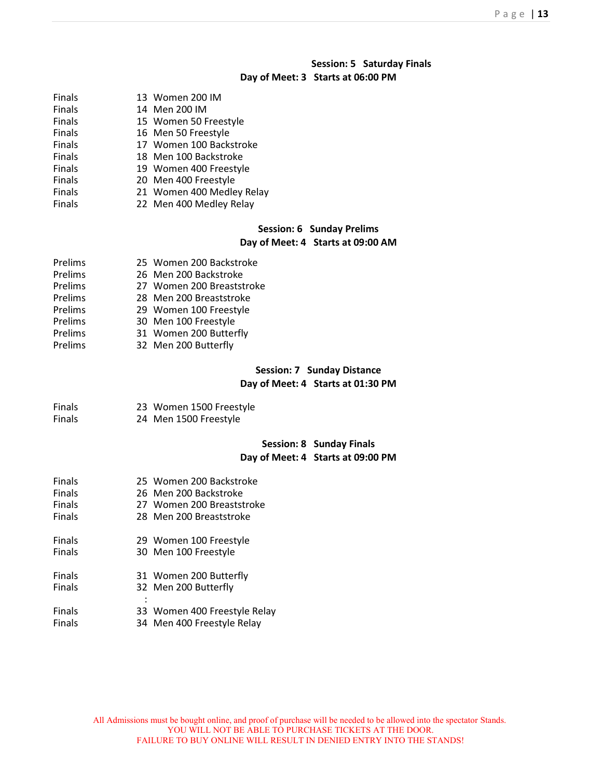# Session: 5 Saturday Finals

#### Day of Meet: 3 Starts at 06:00 PM

| <b>Finals</b> | 13 Women 200 IM                                                        |
|---------------|------------------------------------------------------------------------|
| <b>Finals</b> | 14 Men 200 IM                                                          |
| Finals        | 15 Women 50 Freestyle                                                  |
| Finals        | 16 Men 50 Freestyle                                                    |
| Finals        | 17 Women 100 Backstroke                                                |
| Finals        | 18 Men 100 Backstroke                                                  |
| Finals        | 19 Women 400 Freestyle                                                 |
| Finals        | 20 Men 400 Freestyle                                                   |
| Finals        | 21 Women 400 Medley Relay                                              |
| Finals        | 22 Men 400 Medley Relay                                                |
|               | <b>Session: 6 Sunday Prelims</b><br>Day of Meet: 4 Starts at 09:00 AM  |
| Prelims       | 25 Women 200 Backstroke                                                |
| Prelims       | 26 Men 200 Backstroke                                                  |
| Prelims       | 27 Women 200 Breaststroke                                              |
| Prelims       | 28 Men 200 Breaststroke                                                |
| Prelims       | 29 Women 100 Freestyle                                                 |
| Prelims       | 30 Men 100 Freestyle                                                   |
| Prelims       | 31 Women 200 Butterfly                                                 |
| Prelims       | 32 Men 200 Butterfly                                                   |
|               | <b>Session: 7 Sunday Distance</b><br>Day of Meet: 4 Starts at 01:30 PM |
| Finals        | 23 Women 1500 Freestyle                                                |
| <b>Finals</b> | 24 Men 1500 Freestyle                                                  |
|               | <b>Session: 8 Sunday Finals</b><br>Day of Meet: 4 Starts at 09:00 PM   |
| Finals        | 25 Women 200 Backstroke                                                |
| <b>Finals</b> | 26 Men 200 Backstroke                                                  |
| Finals        | 27 Women 200 Breaststroke                                              |
| Finals        | 28 Men 200 Breaststroke                                                |
| <b>Finals</b> | 29 Women 100 Freestyle                                                 |
| Finals        | 30 Men 100 Freestyle                                                   |
| <b>Finals</b> | 31 Women 200 Butterfly                                                 |
| <b>Finals</b> | 32 Men 200 Butterfly                                                   |
| <b>Finals</b> | 33 Women 400 Freestyle Relay                                           |
| <b>Finals</b> | 34 Men 400 Freestyle Relay                                             |